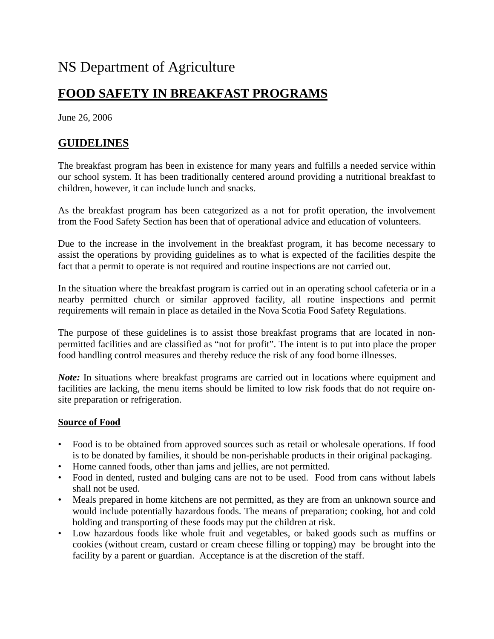# NS Department of Agriculture

# **FOOD SAFETY IN BREAKFAST PROGRAMS**

June 26, 2006

## **GUIDELINES**

The breakfast program has been in existence for many years and fulfills a needed service within our school system. It has been traditionally centered around providing a nutritional breakfast to children, however, it can include lunch and snacks.

As the breakfast program has been categorized as a not for profit operation, the involvement from the Food Safety Section has been that of operational advice and education of volunteers.

Due to the increase in the involvement in the breakfast program, it has become necessary to assist the operations by providing guidelines as to what is expected of the facilities despite the fact that a permit to operate is not required and routine inspections are not carried out.

In the situation where the breakfast program is carried out in an operating school cafeteria or in a nearby permitted church or similar approved facility, all routine inspections and permit requirements will remain in place as detailed in the Nova Scotia Food Safety Regulations.

The purpose of these guidelines is to assist those breakfast programs that are located in nonpermitted facilities and are classified as "not for profit". The intent is to put into place the proper food handling control measures and thereby reduce the risk of any food borne illnesses.

*Note*: In situations where breakfast programs are carried out in locations where equipment and facilities are lacking, the menu items should be limited to low risk foods that do not require onsite preparation or refrigeration.

#### **Source of Food**

- Food is to be obtained from approved sources such as retail or wholesale operations. If food is to be donated by families, it should be non-perishable products in their original packaging.
- Home canned foods, other than jams and jellies, are not permitted.
- Food in dented, rusted and bulging cans are not to be used. Food from cans without labels shall not be used.
- Meals prepared in home kitchens are not permitted, as they are from an unknown source and would include potentially hazardous foods. The means of preparation; cooking, hot and cold holding and transporting of these foods may put the children at risk.
- Low hazardous foods like whole fruit and vegetables, or baked goods such as muffins or cookies (without cream, custard or cream cheese filling or topping) may be brought into the facility by a parent or guardian. Acceptance is at the discretion of the staff.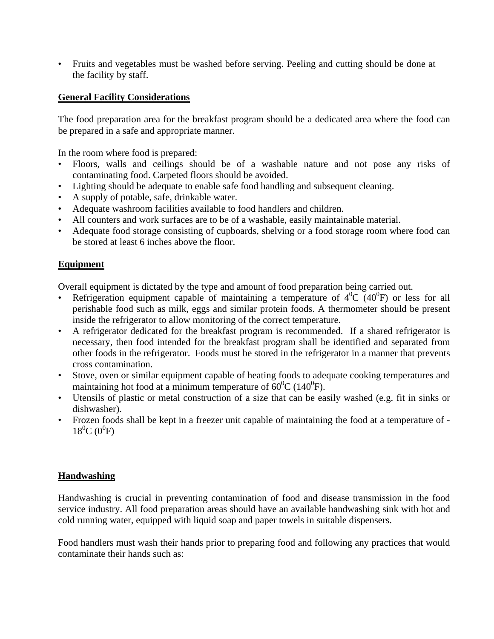• Fruits and vegetables must be washed before serving. Peeling and cutting should be done at the facility by staff.

#### **General Facility Considerations**

The food preparation area for the breakfast program should be a dedicated area where the food can be prepared in a safe and appropriate manner.

In the room where food is prepared:

- Floors, walls and ceilings should be of a washable nature and not pose any risks of contaminating food. Carpeted floors should be avoided.
- Lighting should be adequate to enable safe food handling and subsequent cleaning.
- A supply of potable, safe, drinkable water.
- Adequate washroom facilities available to food handlers and children.
- All counters and work surfaces are to be of a washable, easily maintainable material.
- Adequate food storage consisting of cupboards, shelving or a food storage room where food can be stored at least 6 inches above the floor.

#### **Equipment**

Overall equipment is dictated by the type and amount of food preparation being carried out.

- Refrigeration equipment capable of maintaining a temperature of  $4^0C$  ( $40^0F$ ) or less for all perishable food such as milk, eggs and similar protein foods. A thermometer should be present inside the refrigerator to allow monitoring of the correct temperature.
- A refrigerator dedicated for the breakfast program is recommended. If a shared refrigerator is necessary, then food intended for the breakfast program shall be identified and separated from other foods in the refrigerator.Foods must be stored in the refrigerator in a manner that prevents cross contamination.
- Stove, oven or similar equipment capable of heating foods to adequate cooking temperatures and maintaining hot food at a minimum temperature of  $60^{\circ}$ C (140<sup>o</sup>F).
- Utensils of plastic or metal construction of a size that can be easily washed (e.g. fit in sinks or dishwasher).
- Frozen foods shall be kept in a freezer unit capable of maintaining the food at a temperature of  $18^0C (0^0F)$

#### **Handwashing**

Handwashing is crucial in preventing contamination of food and disease transmission in the food service industry. All food preparation areas should have an available handwashing sink with hot and cold running water, equipped with liquid soap and paper towels in suitable dispensers.

Food handlers must wash their hands prior to preparing food and following any practices that would contaminate their hands such as: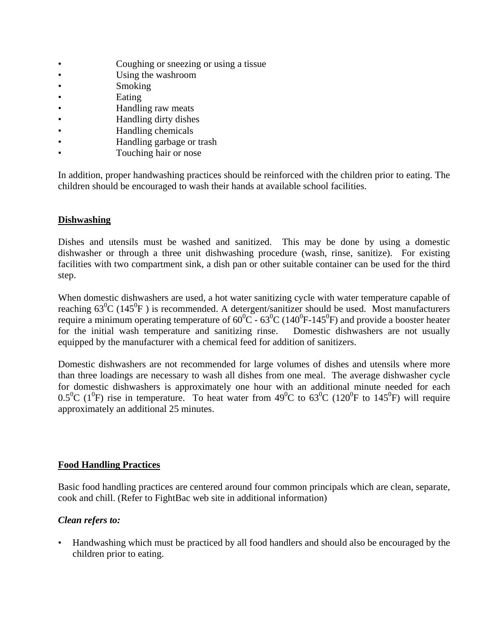- Coughing or sneezing or using a tissue
- Using the washroom
- **Smoking**
- **Eating**
- **Handling raw meats**
- Handling dirty dishes
- Handling chemicals
- Handling garbage or trash
- Touching hair or nose

In addition, proper handwashing practices should be reinforced with the children prior to eating. The children should be encouraged to wash their hands at available school facilities.

#### **Dishwashing**

Dishes and utensils must be washed and sanitized. This may be done by using a domestic dishwasher or through a three unit dishwashing procedure (wash, rinse, sanitize). For existing facilities with two compartment sink, a dish pan or other suitable container can be used for the third step.

When domestic dishwashers are used, a hot water sanitizing cycle with water temperature capable of reaching  $63^{\circ}C$  (145 $^{\circ}F$ ) is recommended. A detergent/sanitizer should be used. Most manufacturers require a minimum operating temperature of  $60^{\circ}$ C -  $63^{\circ}$ C (140<sup>°</sup>F-145<sup>°</sup>F) and provide a booster heater for the initial wash temperature and sanitizing rinse. Domestic dishwashers are not usually equipped by the manufacturer with a chemical feed for addition of sanitizers.

Domestic dishwashers are not recommended for large volumes of dishes and utensils where more than three loadings are necessary to wash all dishes from one meal. The average dishwasher cycle for domestic dishwashers is approximately one hour with an additional minute needed for each  $0.5^{\circ}$ C (1<sup>o</sup>F) rise in temperature. To heat water from 49<sup>o</sup>C to 63<sup>o</sup>C (120<sup>o</sup>F to 145<sup>o</sup>F) will require approximately an additional 25 minutes.

#### **Food Handling Practices**

Basic food handling practices are centered around four common principals which are clean, separate, cook and chill. (Refer to FightBac web site in additional information)

#### *Clean refers to:*

• Handwashing which must be practiced by all food handlers and should also be encouraged by the children prior to eating.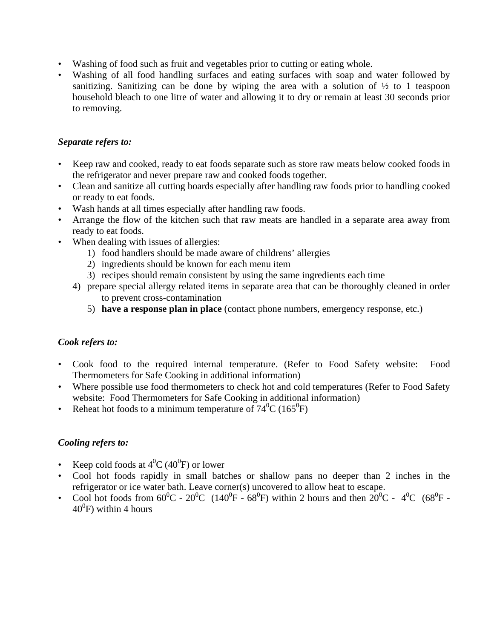- Washing of food such as fruit and vegetables prior to cutting or eating whole.
- Washing of all food handling surfaces and eating surfaces with soap and water followed by sanitizing. Sanitizing can be done by wiping the area with a solution of  $\frac{1}{2}$  to 1 teaspoon household bleach to one litre of water and allowing it to dry or remain at least 30 seconds prior to removing.

#### *Separate refers to:*

- Keep raw and cooked, ready to eat foods separate such as store raw meats below cooked foods in the refrigerator and never prepare raw and cooked foods together.
- Clean and sanitize all cutting boards especially after handling raw foods prior to handling cooked or ready to eat foods.
- Wash hands at all times especially after handling raw foods.
- Arrange the flow of the kitchen such that raw meats are handled in a separate area away from ready to eat foods.
- When dealing with issues of allergies:
	- 1) food handlers should be made aware of childrens' allergies
	- 2) ingredients should be known for each menu item
	- 3) recipes should remain consistent by using the same ingredients each time
	- 4) prepare special allergy related items in separate area that can be thoroughly cleaned in order to prevent cross-contamination
		- 5) **have a response plan in place** (contact phone numbers, emergency response, etc.)

#### *Cook refers to:*

- Cook food to the required internal temperature. (Refer to Food Safety website: Food Thermometers for Safe Cooking in additional information)
- Where possible use food thermometers to check hot and cold temperatures (Refer to Food Safety website: Food Thermometers for Safe Cooking in additional information)
- Reheat hot foods to a minimum temperature of  $74^{\circ}$ C (165 $^{\circ}$ F)

#### *Cooling refers to:*

- Keep cold foods at  $4^0C$  (40<sup>0</sup>F) or lower
- Cool hot foods rapidly in small batches or shallow pans no deeper than 2 inches in the refrigerator or ice water bath. Leave corner(s) uncovered to allow heat to escape.
- Cool hot foods from  $60^{\circ}$ C  $20^{\circ}$ C (140<sup>o</sup>F  $68^{\circ}$ F) within 2 hours and then  $20^{\circ}$ C  $4^{\circ}$ C ( $68^{\circ}$ F - $40^0$ F) within 4 hours